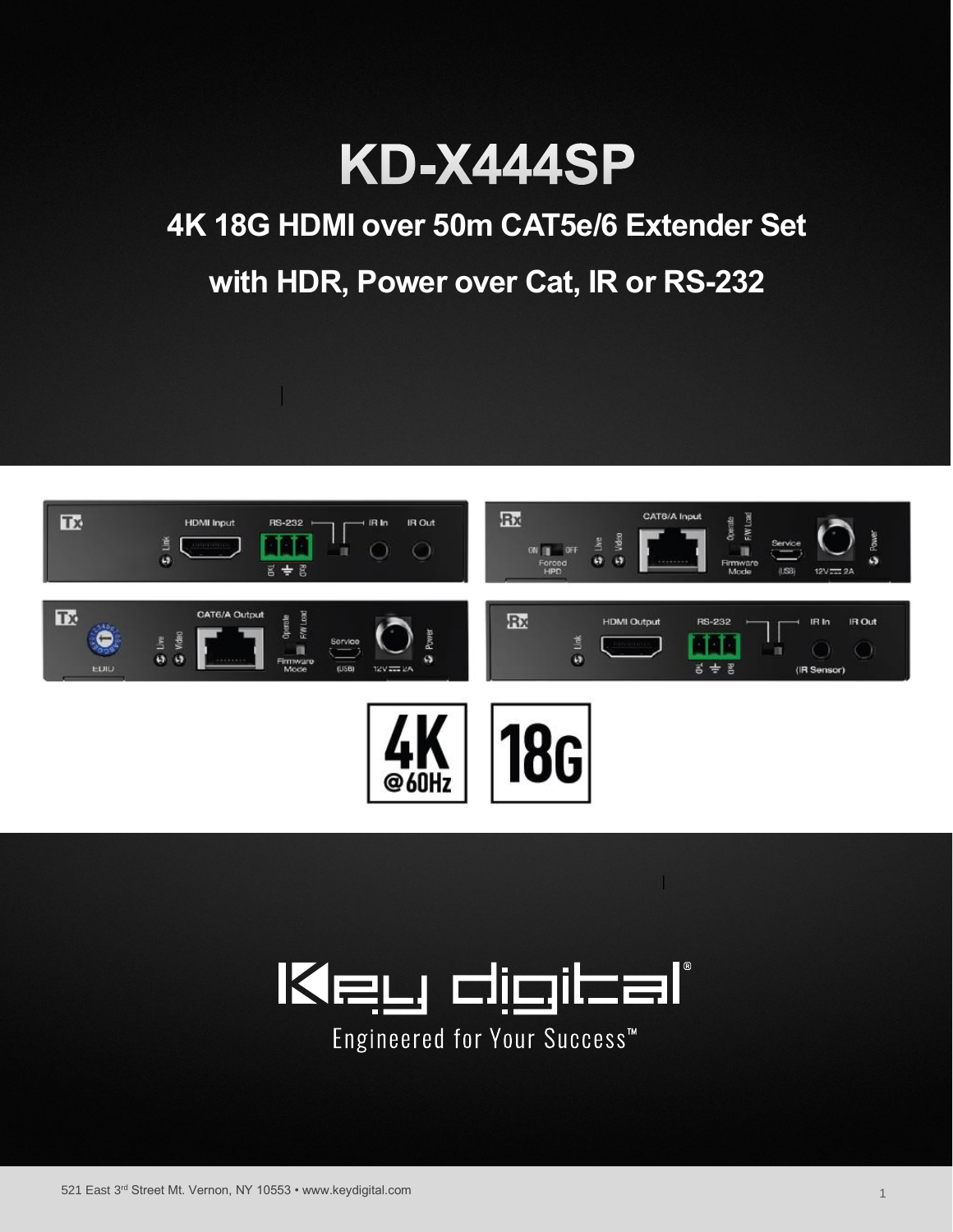

# **4K 18G HDMI over 50m CAT5e/6 Extender Set with HDR, Power over Cat, IR or RS-232**



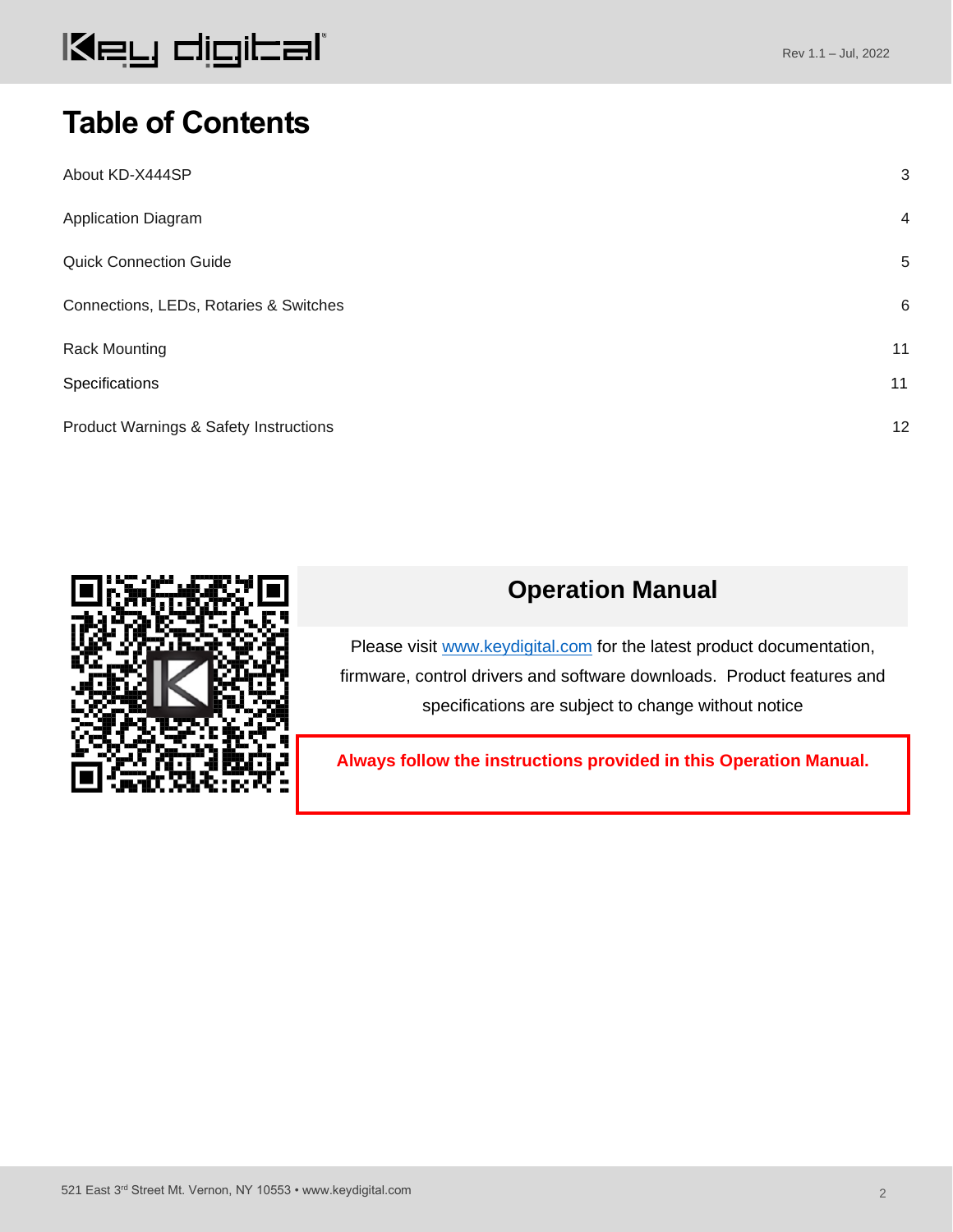#### Rev 1.1 – Jul, 2022

### **Table of Contents**

| About KD-X444SP                        | 3              |
|----------------------------------------|----------------|
| Application Diagram                    | $\overline{4}$ |
| <b>Quick Connection Guide</b>          | 5              |
| Connections, LEDs, Rotaries & Switches | 6              |
| <b>Rack Mounting</b>                   | 11             |
| Specifications                         | 11             |
| Product Warnings & Safety Instructions | 12             |



### **Operation Manual**

Please visit [www.keydigital.com](http://www.keydigital.com/) for the latest product documentation, firmware, control drivers and software downloads. Product features and specifications are subject to change without notice

**Always follow the instructions provided in this Operation Manual.**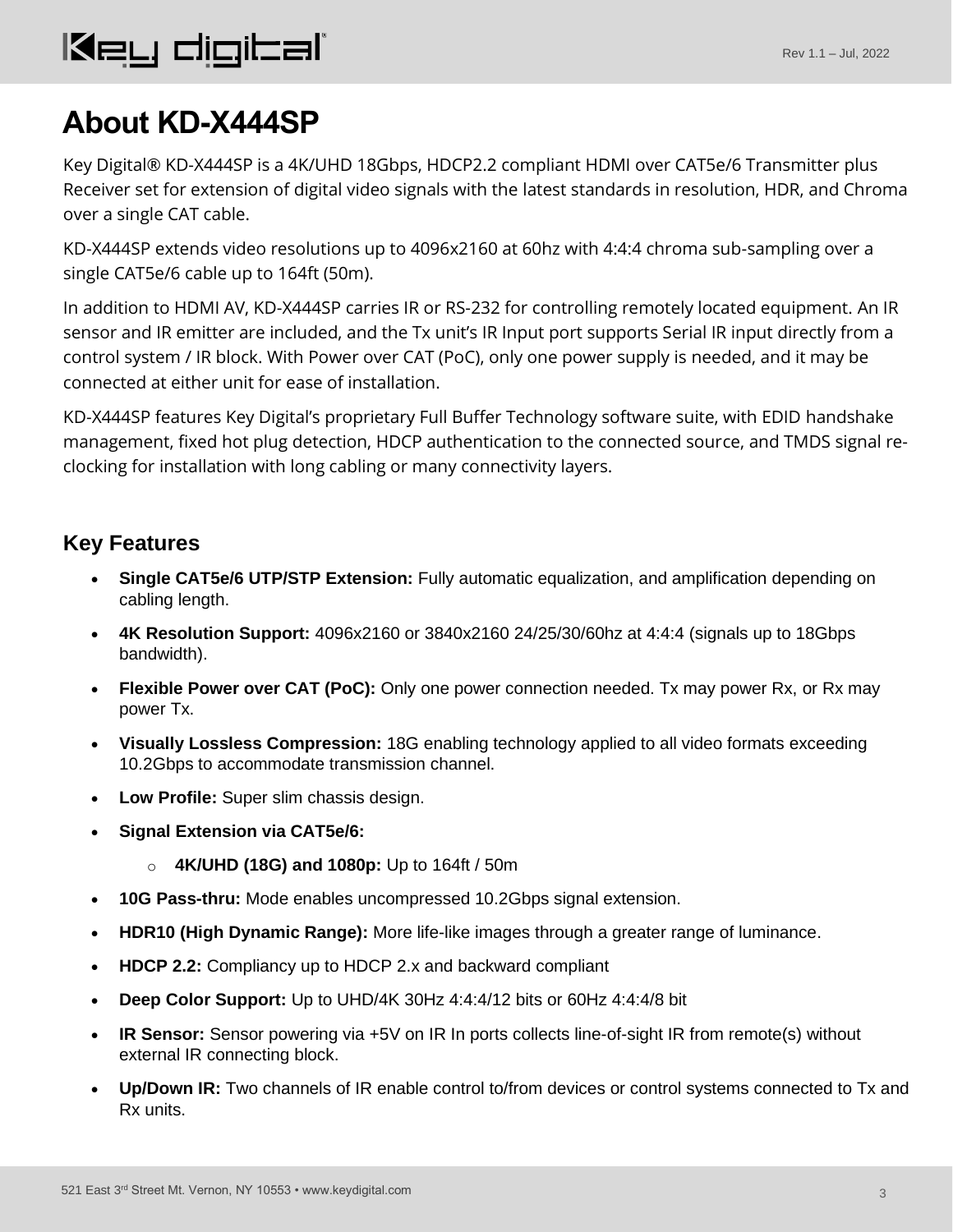## <span id="page-2-0"></span>**About KD-X444SP**

Key Digital® KD-X444SP is a 4K/UHD 18Gbps, HDCP2.2 compliant HDMI over CAT5e/6 Transmitter plus Receiver set for extension of digital video signals with the latest standards in resolution, HDR, and Chroma over a single CAT cable.

KD-X444SP extends video resolutions up to 4096x2160 at 60hz with 4:4:4 chroma sub-sampling over a single CAT5e/6 cable up to 164ft (50m).

In addition to HDMI AV, KD-X444SP carries IR or RS-232 for controlling remotely located equipment. An IR sensor and IR emitter are included, and the Tx unit's IR Input port supports Serial IR input directly from a control system / IR block. With Power over CAT (PoC), only one power supply is needed, and it may be connected at either unit for ease of installation.

KD-X444SP features Key Digital's proprietary Full Buffer Technology software suite, with EDID handshake management, fixed hot plug detection, HDCP authentication to the connected source, and TMDS signal reclocking for installation with long cabling or many connectivity layers.

### **Key Features**

- **Single CAT5e/6 UTP/STP Extension:** Fully automatic equalization, and amplification depending on cabling length.
- **4K Resolution Support:** 4096x2160 or 3840x2160 24/25/30/60hz at 4:4:4 (signals up to 18Gbps bandwidth).
- **Flexible Power over CAT (PoC):** Only one power connection needed. Tx may power Rx, or Rx may power Tx.
- **Visually Lossless Compression:** 18G enabling technology applied to all video formats exceeding 10.2Gbps to accommodate transmission channel.
- **Low Profile:** Super slim chassis design.
- **Signal Extension via CAT5e/6:** 
	- o **4K/UHD (18G) and 1080p:** Up to 164ft / 50m
- **10G Pass-thru:** Mode enables uncompressed 10.2Gbps signal extension.
- **HDR10 (High Dynamic Range):** More life-like images through a greater range of luminance.
- **HDCP 2.2:** Compliancy up to HDCP 2.x and backward compliant
- **Deep Color Support:** Up to UHD/4K 30Hz 4:4:4/12 bits or 60Hz 4:4:4/8 bit
- **IR Sensor:** Sensor powering via +5V on IR In ports collects line-of-sight IR from remote(s) without external IR connecting block.
- **Up/Down IR:** Two channels of IR enable control to/from devices or control systems connected to Tx and Rx units.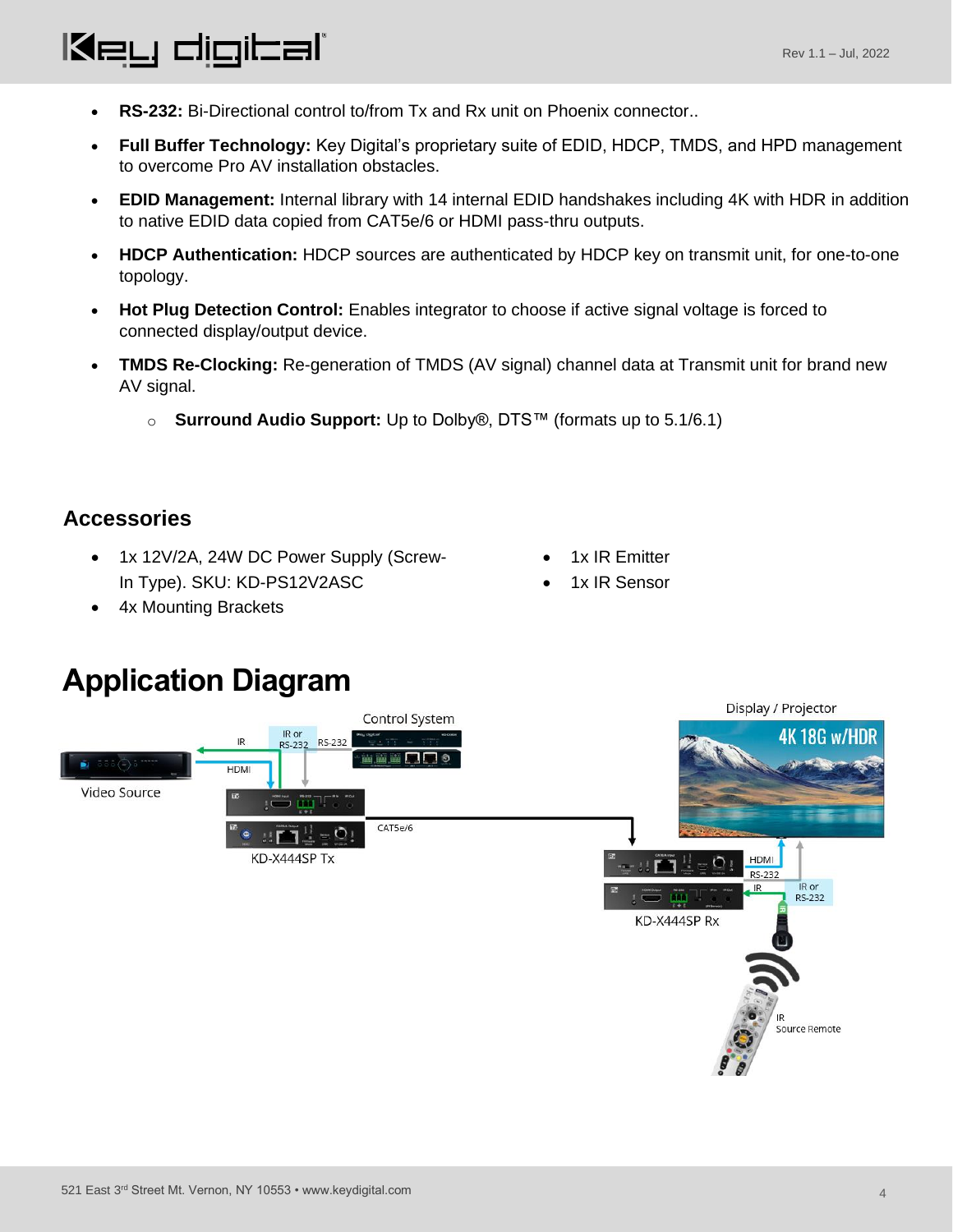#### • **RS-232:** Bi-Directional control to/from Tx and Rx unit on Phoenix connector..

- **Full Buffer Technology:** Key Digital's proprietary suite of EDID, HDCP, TMDS, and HPD management to overcome Pro AV installation obstacles.
- **EDID Management:** Internal library with 14 internal EDID handshakes including 4K with HDR in addition to native EDID data copied from CAT5e/6 or HDMI pass-thru outputs.
- **HDCP Authentication:** HDCP sources are authenticated by HDCP key on transmit unit, for one-to-one topology.
- **Hot Plug Detection Control:** Enables integrator to choose if active signal voltage is forced to connected display/output device.
- **TMDS Re-Clocking:** Re-generation of TMDS (AV signal) channel data at Transmit unit for brand new AV signal.
	- o **Surround Audio Support:** Up to Dolby®, DTS™ (formats up to 5.1/6.1)

#### **Accessories**

- 1x 12V/2A, 24W DC Power Supply (Screw-In Type). SKU: KD-PS12V2ASC
- 1x IR Emitter
- 1x IR Sensor

• 4x Mounting Brackets

Key digital'

### **Application Diagram**

<span id="page-3-1"></span><span id="page-3-0"></span>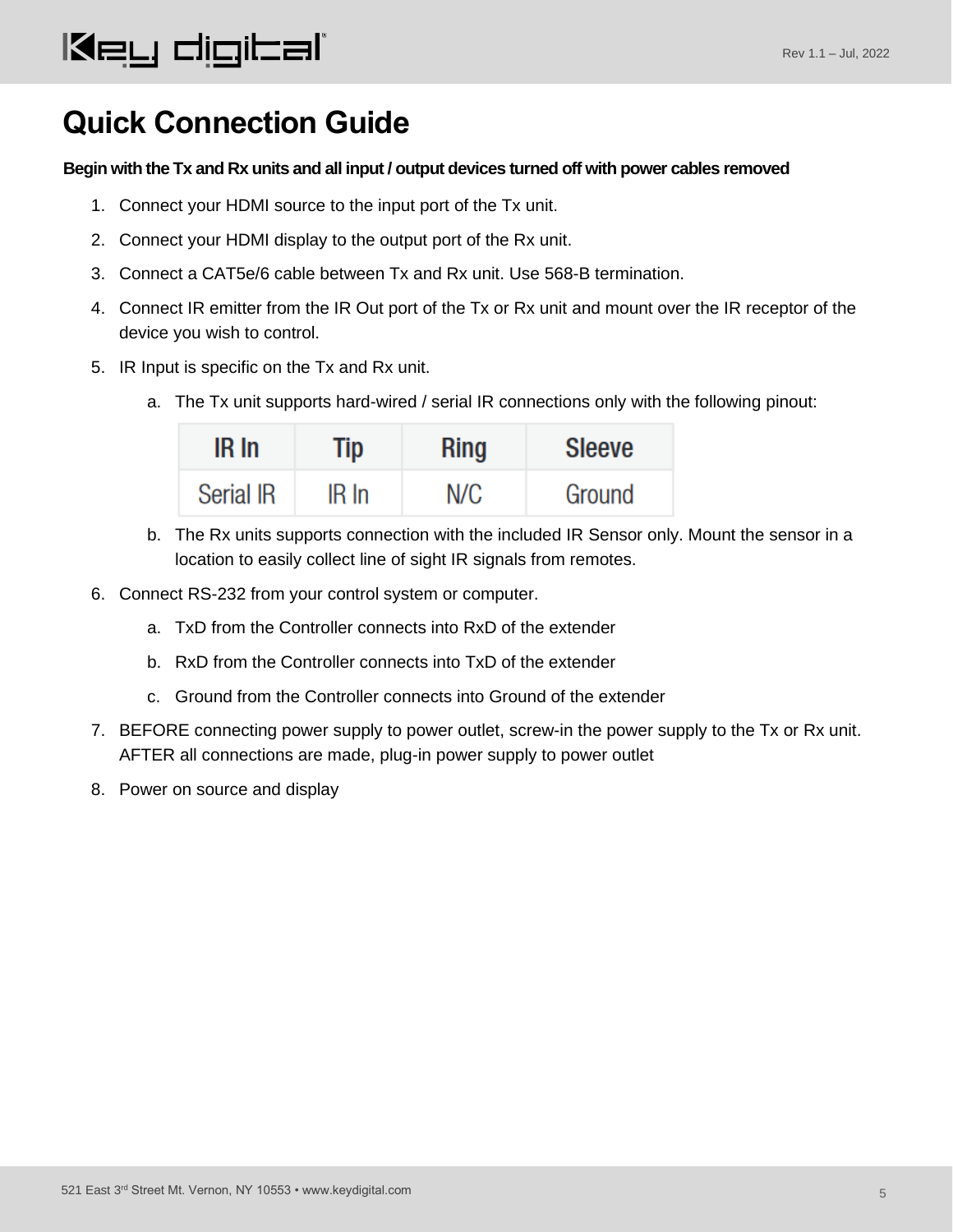### **Quick Connection Guide**

#### **Begin with the Tx and Rx units and all input / output devices turned off with power cables removed**

- 1. Connect your HDMI source to the input port of the Tx unit.
- 2. Connect your HDMI display to the output port of the Rx unit.
- 3. Connect a CAT5e/6 cable between Tx and Rx unit. Use 568-B termination.
- 4. Connect IR emitter from the IR Out port of the Tx or Rx unit and mount over the IR receptor of the device you wish to control.
- 5. IR Input is specific on the Tx and Rx unit.
	- a. The Tx unit supports hard-wired / serial IR connections only with the following pinout:

| IR In            | Tip       | <b>Ring</b> | <b>Sleeve</b> |
|------------------|-----------|-------------|---------------|
| <b>Serial IR</b> | $IR$ $In$ | N/C         | Ground        |

- b. The Rx units supports connection with the included IR Sensor only. Mount the sensor in a location to easily collect line of sight IR signals from remotes.
- 6. Connect RS-232 from your control system or computer.
	- a. TxD from the Controller connects into RxD of the extender
	- b. RxD from the Controller connects into TxD of the extender
	- c. Ground from the Controller connects into Ground of the extender
- 7. BEFORE connecting power supply to power outlet, screw-in the power supply to the Tx or Rx unit. AFTER all connections are made, plug-in power supply to power outlet
- 8. Power on source and display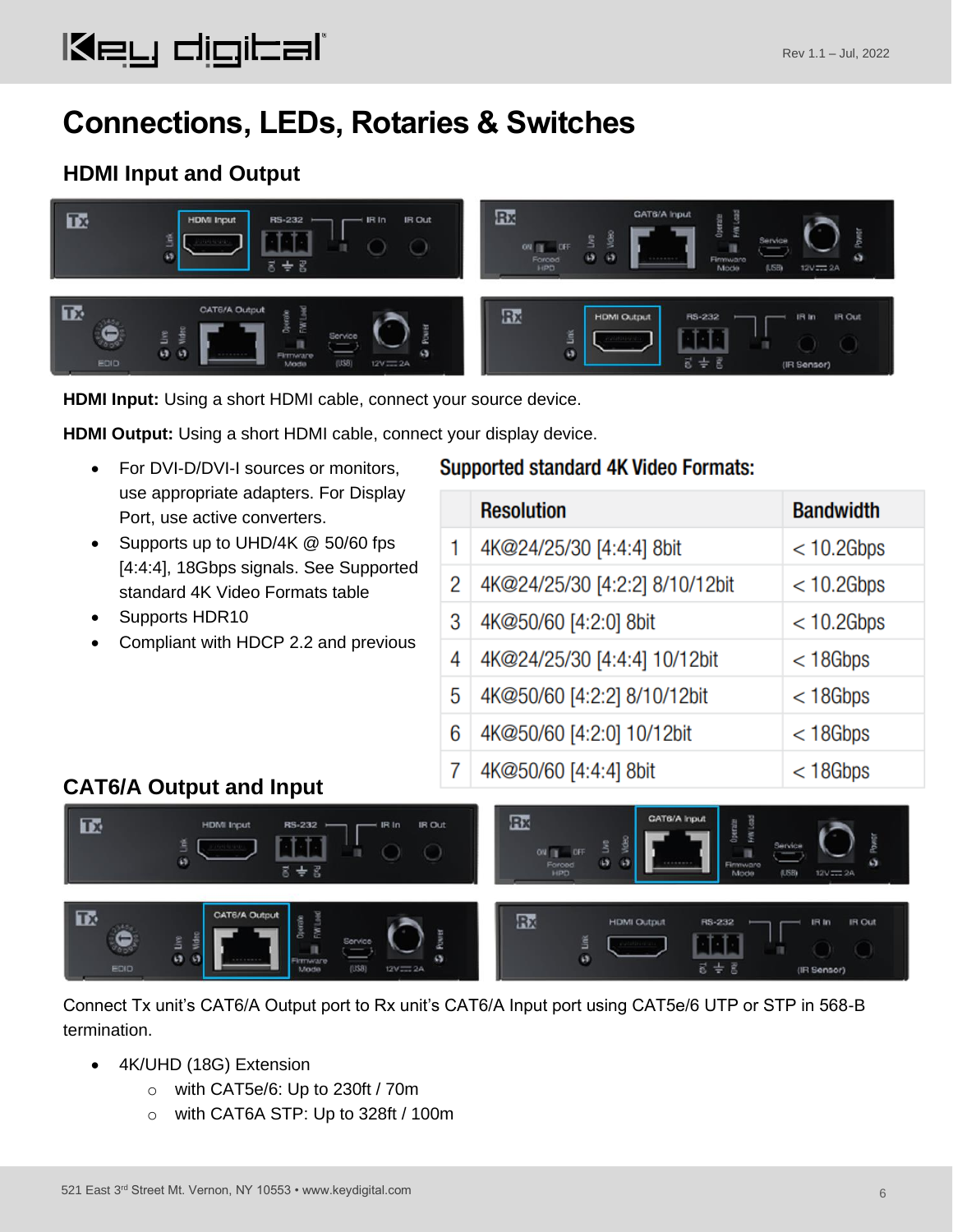### <span id="page-5-0"></span>**Connections, LEDs, Rotaries & Switches**

### **HDMI Input and Output**



**HDMI Input:** Using a short HDMI cable, connect your source device.

**HDMI Output:** Using a short HDMI cable, connect your display device.

- For DVI-D/DVI-I sources or monitors, use appropriate adapters. For Display Port, use active converters.
- Supports up to UHD/4K @ 50/60 fps [4:4:4], 18Gbps signals. See Supported standard 4K Video Formats table
- Supports HDR10
- Compliant with HDCP 2.2 and previous

#### **Supported standard 4K Video Formats:**

|   | <b>Resolution</b>              | <b>Bandwidth</b> |
|---|--------------------------------|------------------|
| 1 | 4K@24/25/30 [4:4:4] 8bit       | $<$ 10.2Gbps     |
| 2 | 4K@24/25/30 [4:2:2] 8/10/12bit | $< 10.2$ Gbps    |
| 3 | 4K@50/60 [4:2:0] 8bit          | $< 10.2$ Gbps    |
| 4 | 4K@24/25/30 [4:4:4] 10/12bit   | $<$ 18 Gbps      |
| 5 | 4K@50/60 [4:2:2] 8/10/12bit    | $<$ 18 Gbps      |
| 6 | 4K@50/60 [4:2:0] 10/12bit      | $<$ 18 Gbps      |
| 7 | 4K@50/60 [4:4:4] 8bit          | $<$ 18 Gbps      |

### **CAT6/A Output and Input**



Connect Tx unit's CAT6/A Output port to Rx unit's CAT6/A Input port using CAT5e/6 UTP or STP in 568-B termination.

- 4K/UHD (18G) Extension
	- o with CAT5e/6: Up to 230ft / 70m
	- o with CAT6A STP: Up to 328ft / 100m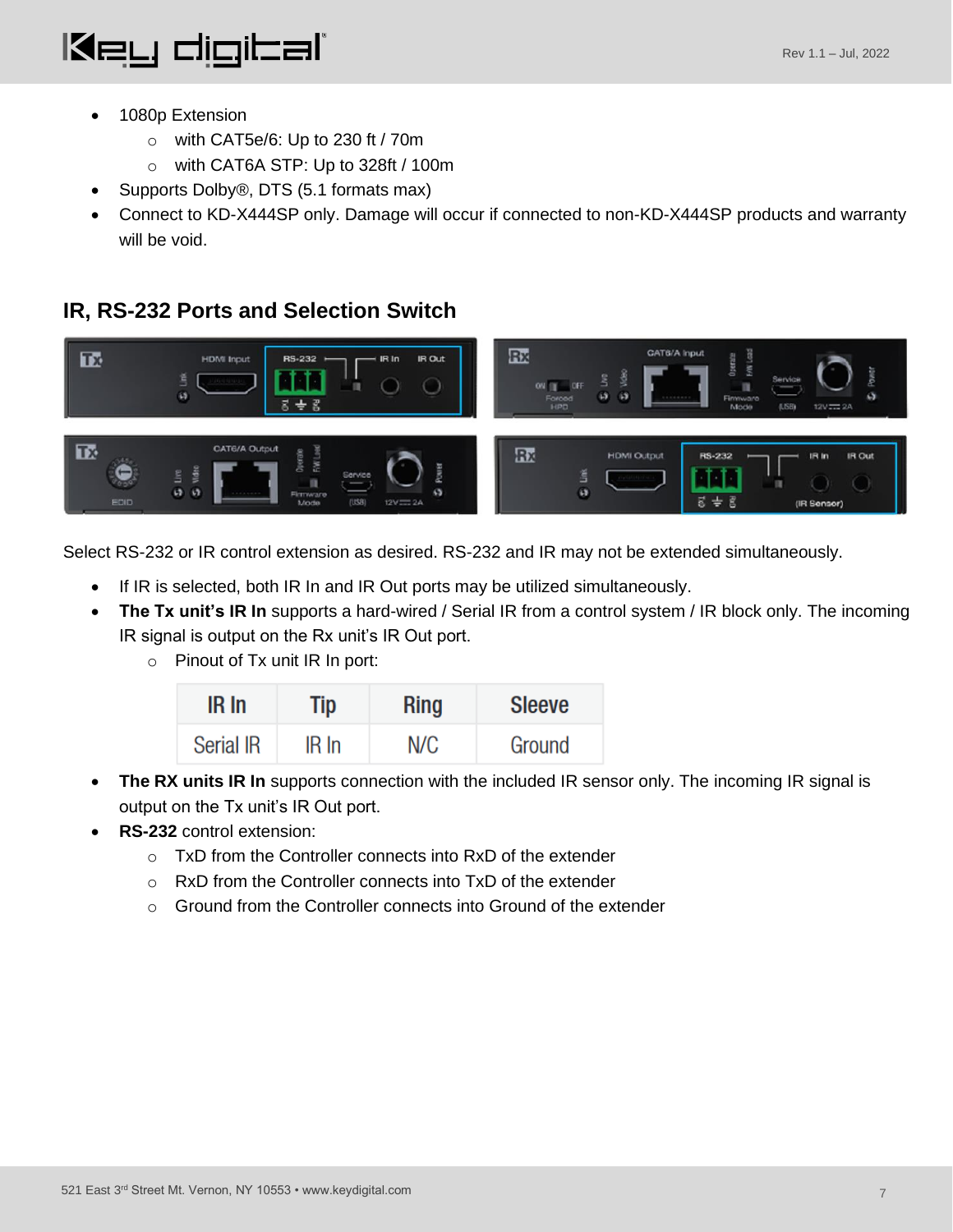

- 1080p Extension
	- o with CAT5e/6: Up to 230 ft / 70m
	- o with CAT6A STP: Up to 328ft / 100m
- Supports Dolby<sup>®</sup>, DTS (5.1 formats max)
- <span id="page-6-0"></span>• Connect to KD-X444SP only. Damage will occur if connected to non-KD-X444SP products and warranty will be void.

#### **IR, RS-232 Ports and Selection Switch**



Select RS-232 or IR control extension as desired. RS-232 and IR may not be extended simultaneously.

- If IR is selected, both IR In and IR Out ports may be utilized simultaneously.
- **The Tx unit's IR In** supports a hard-wired / Serial IR from a control system / IR block only. The incoming IR signal is output on the Rx unit's IR Out port.
	- $\circ$  Pinout of Tx unit IR In port:

| IR In            | Tip      | <b>Ring</b> | <b>Sleeve</b> |
|------------------|----------|-------------|---------------|
| <b>Serial IR</b> | $IR \ln$ | N/C         | Ground        |

- **The RX units IR In** supports connection with the included IR sensor only. The incoming IR signal is output on the Tx unit's IR Out port.
- **RS-232** control extension:
	- o TxD from the Controller connects into RxD of the extender
	- o RxD from the Controller connects into TxD of the extender
	- o Ground from the Controller connects into Ground of the extender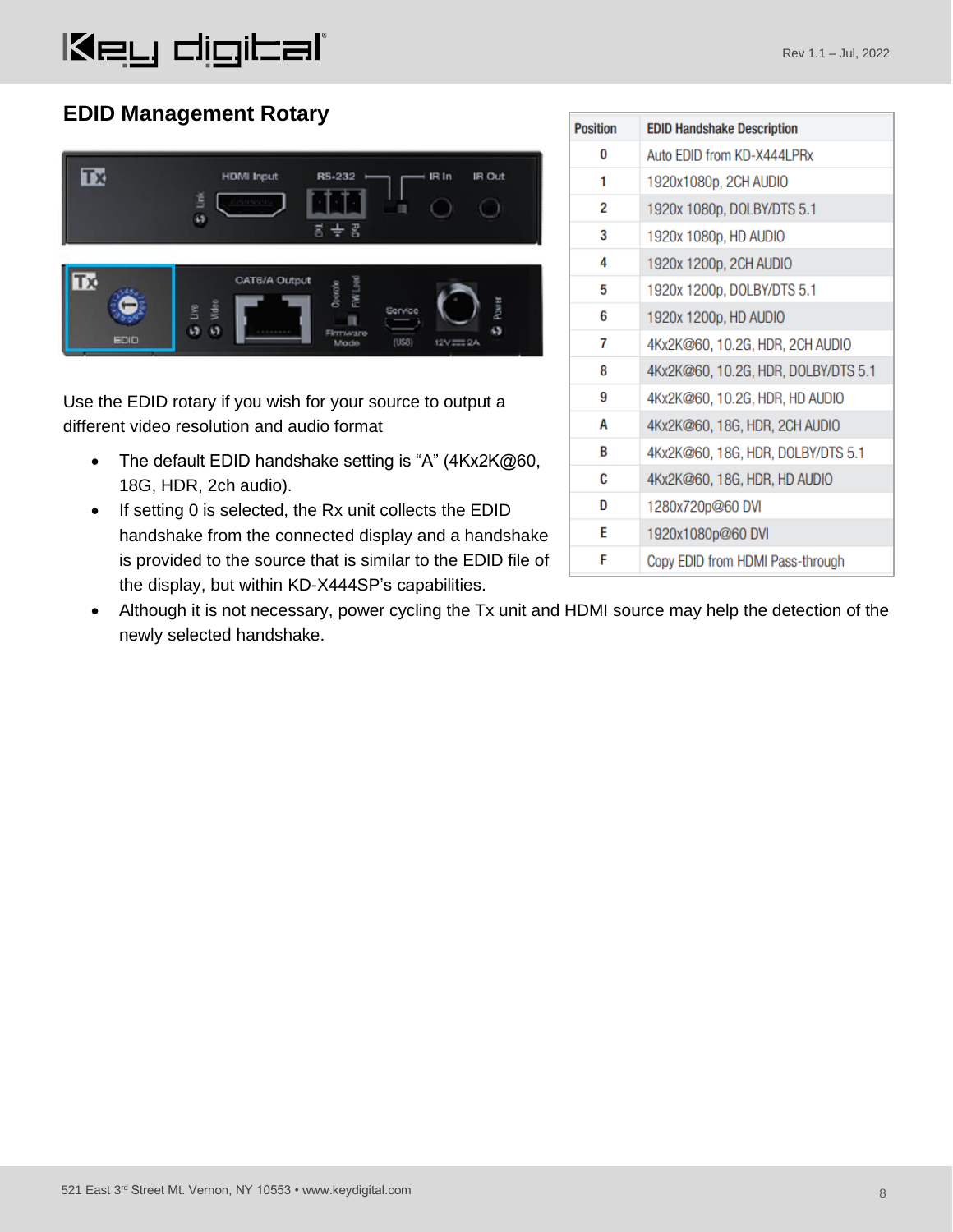#### **EDID Management Rotary**



Use the EDID rotary if you wish for your source to output a different video resolution and audio format

- The default EDID handshake setting is "A" (4Kx2K@60, 18G, HDR, 2ch audio).
- If setting 0 is selected, the Rx unit collects the EDID handshake from the connected display and a handshake is provided to the source that is similar to the EDID file of the display, but within KD-X444SP's capabilities.

| <b>Position</b> | <b>EDID Handshake Description</b>   |
|-----------------|-------------------------------------|
| 0               | Auto EDID from KD-X444LPRx          |
| 1               | 1920x1080p, 2CH AUDIO               |
| 2               | 1920x 1080p, DOLBY/DTS 5.1          |
| 3               | 1920x 1080p, HD AUDIO               |
| 4               | 1920x 1200p, 2CH AUDIO              |
| 5               | 1920x 1200p, DOLBY/DTS 5.1          |
| 6               | 1920x 1200p, HD AUDIO               |
| 7               | 4Kx2K@60, 10.2G, HDR, 2CH AUDIO     |
| 8               | 4Kx2K@60, 10.2G, HDR, DOLBY/DTS 5.1 |
| 9               | 4Kx2K@60, 10.2G, HDR, HD AUDIO      |
| А               | 4Kx2K@60, 18G, HDR, 2CH AUDIO       |
| B               | 4Kx2K@60, 18G, HDR, DOLBY/DTS 5.1   |
| c               | 4Kx2K@60, 18G, HDR, HD AUDIO        |
| D               | 1280x720p@60 DVI                    |
| E               | 1920x1080p@60 DVI                   |
| F               | Copy EDID from HDMI Pass-through    |

• Although it is not necessary, power cycling the Tx unit and HDMI source may help the detection of the newly selected handshake.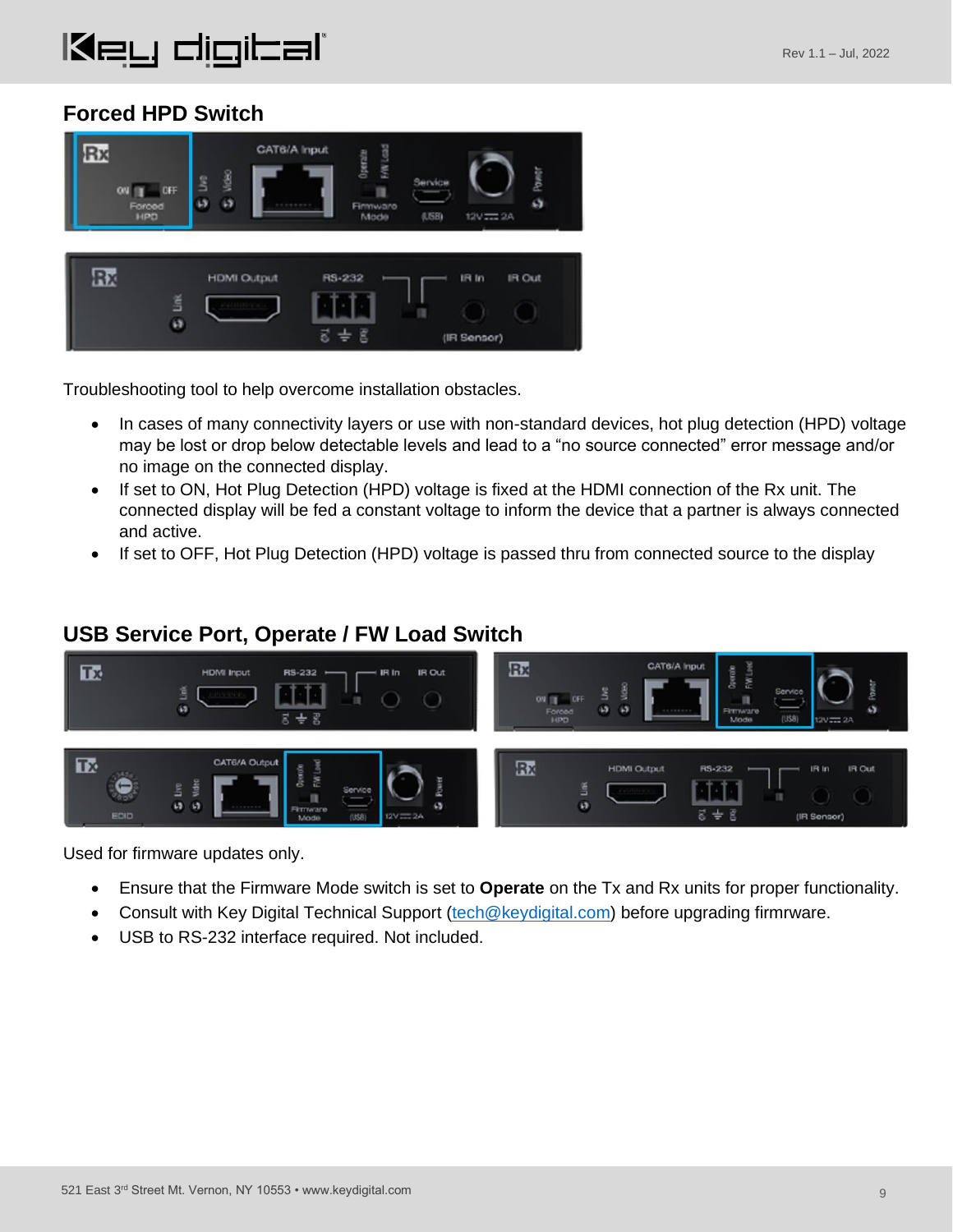#### **Forced HPD Switch**



Troubleshooting tool to help overcome installation obstacles.

- In cases of many connectivity layers or use with non-standard devices, hot plug detection (HPD) voltage may be lost or drop below detectable levels and lead to a "no source connected" error message and/or no image on the connected display.
- If set to ON, Hot Plug Detection (HPD) voltage is fixed at the HDMI connection of the Rx unit. The connected display will be fed a constant voltage to inform the device that a partner is always connected and active.
- If set to OFF, Hot Plug Detection (HPD) voltage is passed thru from connected source to the display

#### **USB Service Port, Operate / FW Load Switch**



Used for firmware updates only.

- Ensure that the Firmware Mode switch is set to **Operate** on the Tx and Rx units for proper functionality.
- Consult with Key Digital Technical Support [\(tech@keydigital.com\)](mailto:tech@keydigital.com) before upgrading firmrware.
- USB to RS-232 interface required. Not included.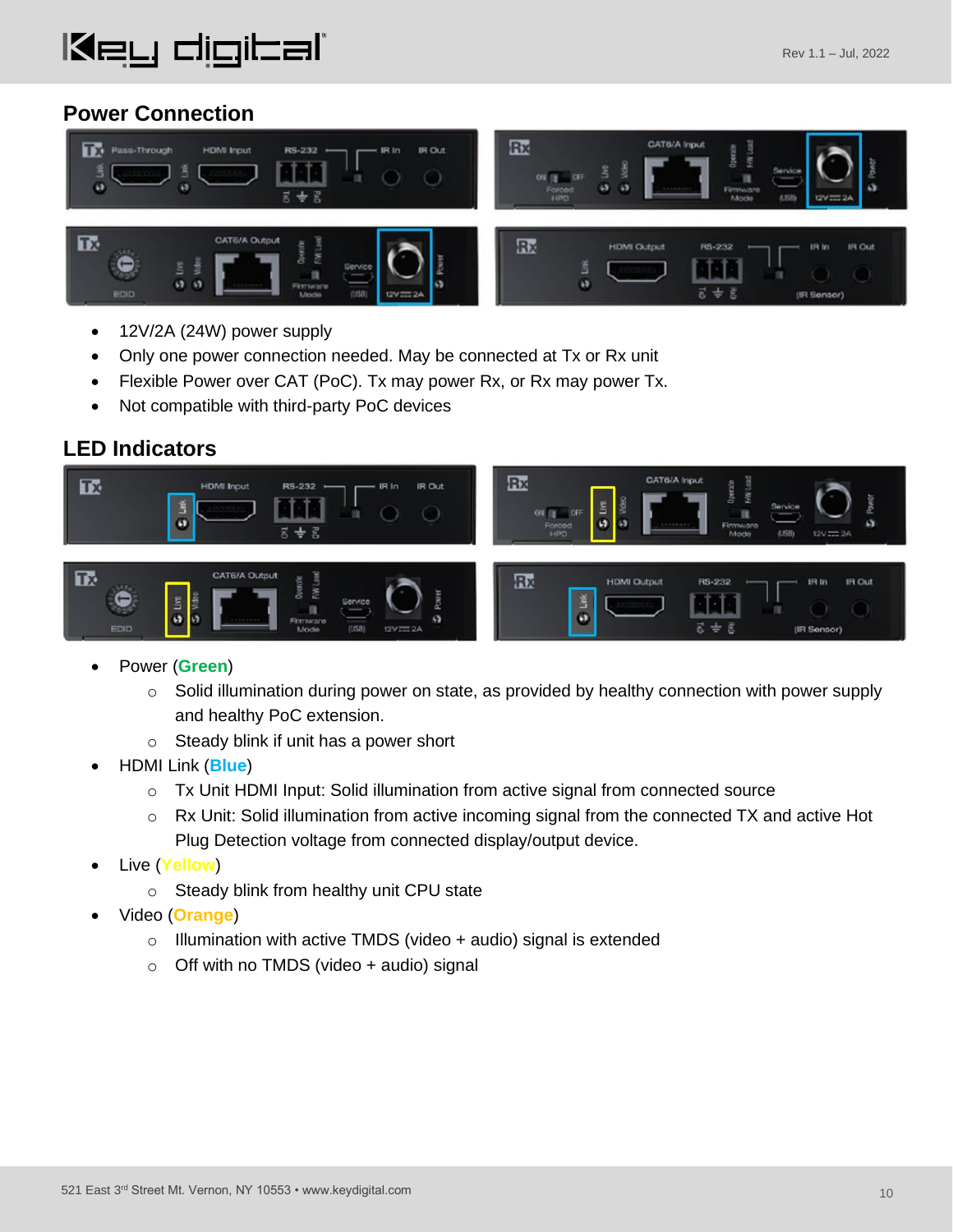#### **Power Connection**



- 12V/2A (24W) power supply
- Only one power connection needed. May be connected at Tx or Rx unit
- Flexible Power over CAT (PoC). Tx may power Rx, or Rx may power Tx.
- Not compatible with third-party PoC devices

#### **LED Indicators**



- Power (**Green**)
	- $\circ$  Solid illumination during power on state, as provided by healthy connection with power supply and healthy PoC extension.
	- o Steady blink if unit has a power short
- HDMI Link (**Blue**)
	- $\circ$  Tx Unit HDMI Input: Solid illumination from active signal from connected source
	- $\circ$  Rx Unit: Solid illumination from active incoming signal from the connected TX and active Hot Plug Detection voltage from connected display/output device.
- Live (**Yellow**)
	- o Steady blink from healthy unit CPU state
- Video (**Orange**)
	- $\circ$  Illumination with active TMDS (video + audio) signal is extended
	- $\circ$  Off with no TMDS (video + audio) signal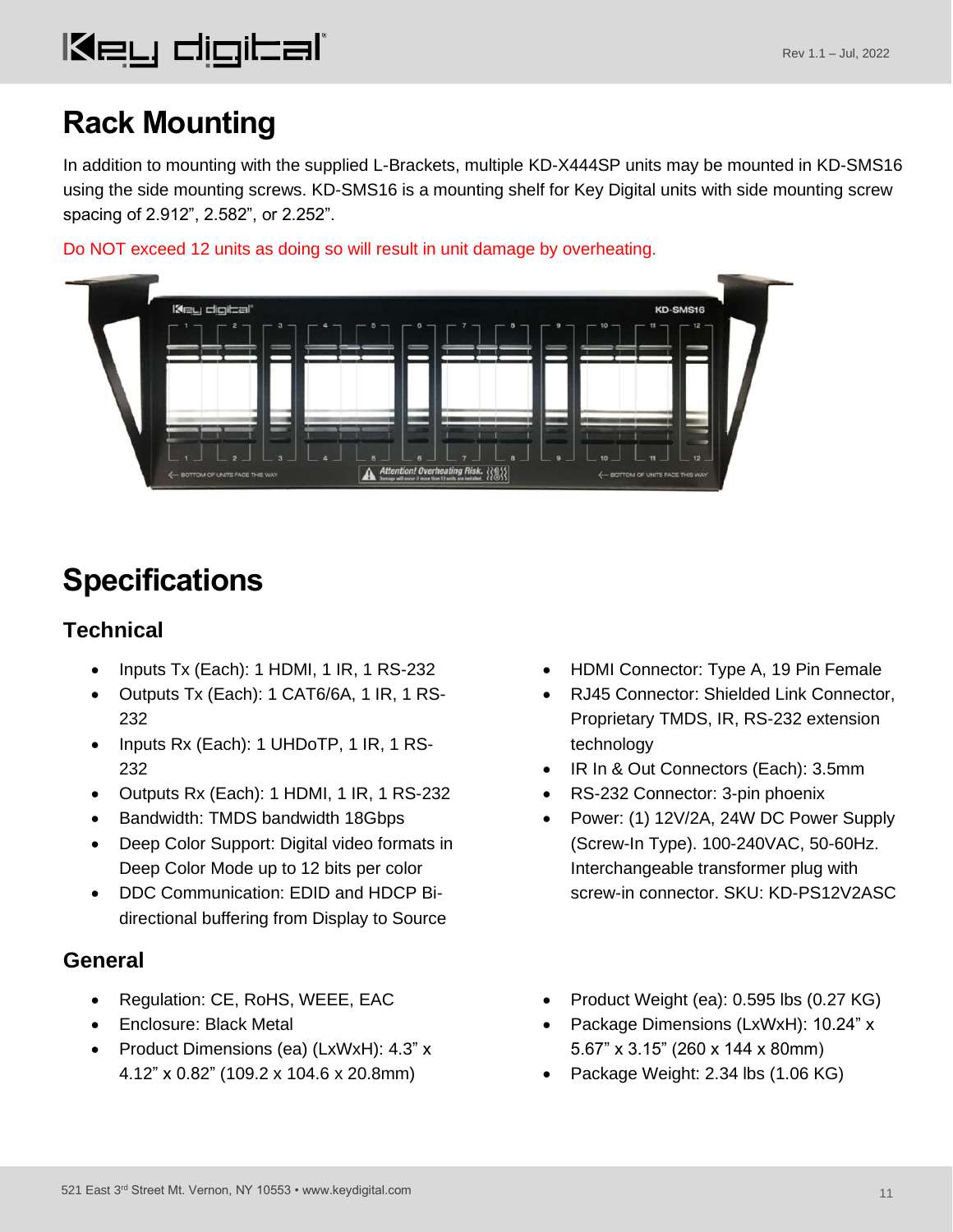## <span id="page-10-0"></span>**Rack Mounting**

In addition to mounting with the supplied L-Brackets, multiple KD-X444SP units may be mounted in KD-SMS16 using the side mounting screws. KD-SMS16 is a mounting shelf for Key Digital units with side mounting screw spacing of 2.912", 2.582", or 2.252".

Do NOT exceed 12 units as doing so will result in unit damage by overheating.



## <span id="page-10-1"></span>**Specifications**

### **Technical**

- Inputs Tx (Each): 1 HDMI, 1 IR, 1 RS-232
- Outputs Tx (Each): 1 CAT6/6A, 1 IR, 1 RS-232
- Inputs Rx (Each): 1 UHDoTP, 1 IR, 1 RS-232
- Outputs Rx (Each): 1 HDMI, 1 IR, 1 RS-232
- Bandwidth: TMDS bandwidth 18Gbps
- Deep Color Support: Digital video formats in Deep Color Mode up to 12 bits per color
- DDC Communication: EDID and HDCP Bidirectional buffering from Display to Source

#### **General**

- Regulation: CE, RoHS, WEEE, EAC
- Enclosure: Black Metal
- Product Dimensions (ea) (LxWxH): 4.3" x 4.12" x 0.82" (109.2 x 104.6 x 20.8mm)
- HDMI Connector: Type A, 19 Pin Female
- RJ45 Connector: Shielded Link Connector, Proprietary TMDS, IR, RS-232 extension technology
- IR In & Out Connectors (Each): 3.5mm
- RS-232 Connector: 3-pin phoenix
- Power: (1) 12V/2A, 24W DC Power Supply (Screw-In Type). 100-240VAC, 50-60Hz. Interchangeable transformer plug with screw-in connector. SKU: KD-PS12V2ASC
- Product Weight (ea): 0.595 lbs (0.27 KG)
- Package Dimensions (LxWxH): 10.24" x 5.67" x 3.15" (260 x 144 x 80mm)
- Package Weight: 2.34 lbs (1.06 KG)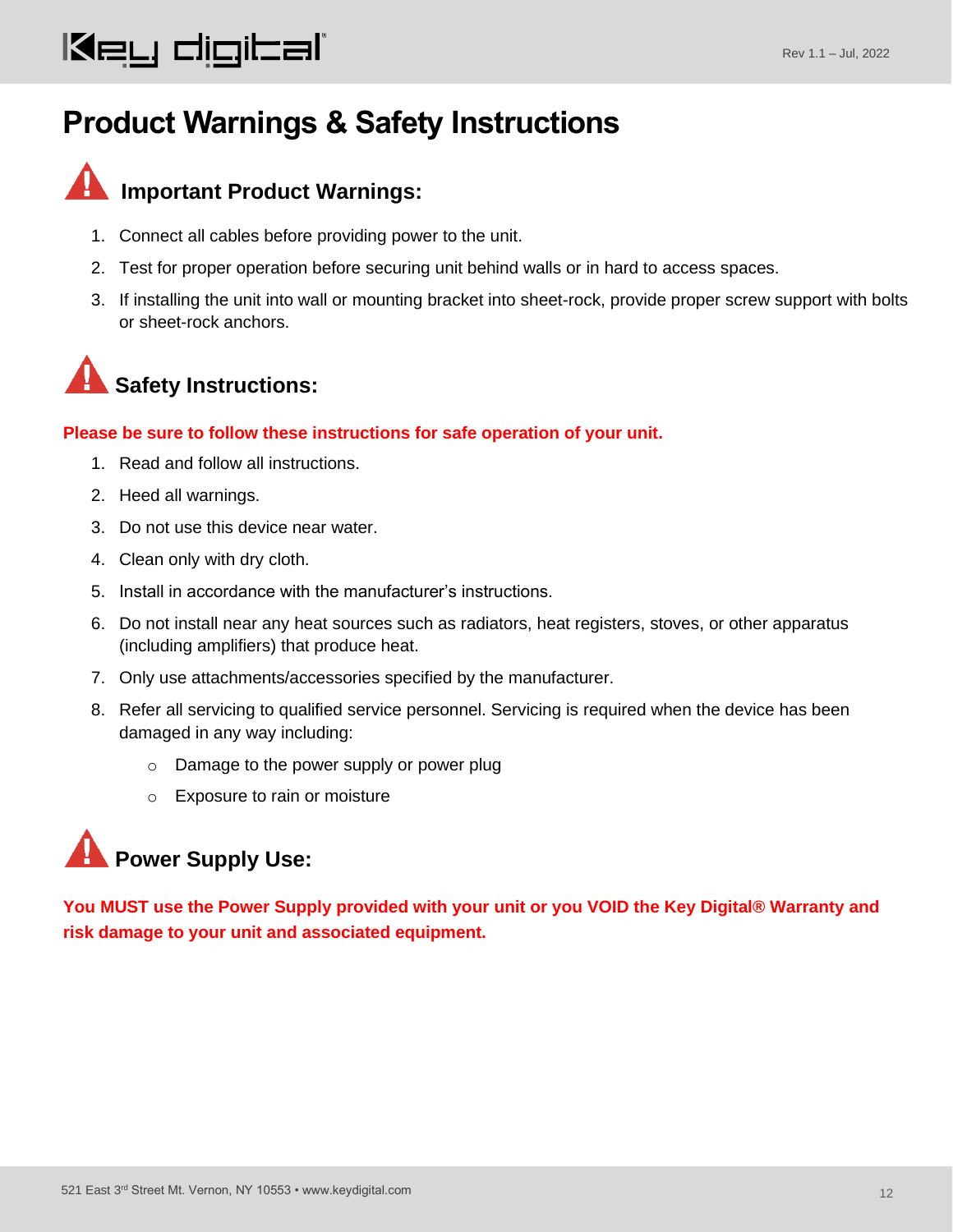## **Product Warnings & Safety Instructions**



## **Important Product Warnings:**

- 1. Connect all cables before providing power to the unit.
- 2. Test for proper operation before securing unit behind walls or in hard to access spaces.
- 3. If installing the unit into wall or mounting bracket into sheet-rock, provide proper screw support with bolts or sheet-rock anchors.



#### **Please be sure to follow these instructions for safe operation of your unit.**

- 1. Read and follow all instructions.
- 2. Heed all warnings.
- 3. Do not use this device near water.
- 4. Clean only with dry cloth.
- 5. Install in accordance with the manufacturer's instructions.
- 6. Do not install near any heat sources such as radiators, heat registers, stoves, or other apparatus (including amplifiers) that produce heat.
- 7. Only use attachments/accessories specified by the manufacturer.
- 8. Refer all servicing to qualified service personnel. Servicing is required when the device has been damaged in any way including:
	- o Damage to the power supply or power plug
	- o Exposure to rain or moisture

## **Power Supply Use:**

**You MUST use the Power Supply provided with your unit or you VOID the Key Digital® Warranty and risk damage to your unit and associated equipment.**